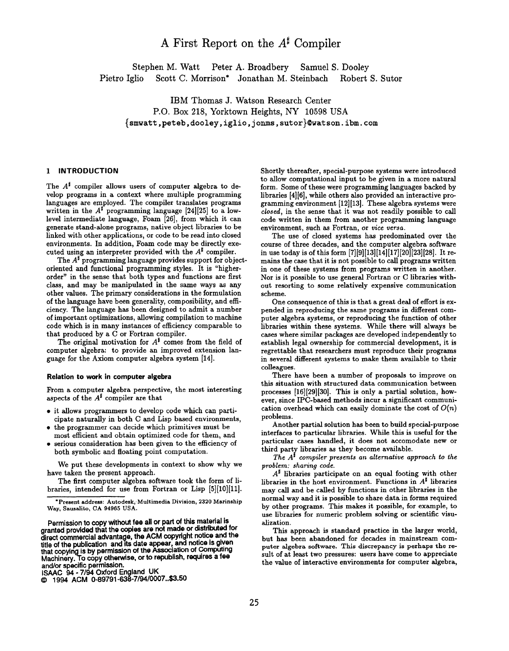# A First Report on the  $A^{\sharp}$  Compiler

Stephen M. Watt Peter A. Broadbery Samuel S. Dooley Pietro Iglio Scott C. Morrison\* Jonathan M. Steinbach Robert S. Sutor

IBM Thomas J. Watson Research Center P.O. Box 218, Yorktown Heights, NY 10598 USA {smwatt ,peteb, dooley, lglio, jonms, sutor}@watson. ibm. com

# 1 INTRODUCTION

The  $A^{\sharp}$  compiler allows users of computer algebra to develop programs in a context where multiple programming languages are employed. The compiler translates programs written in the  $A^{\sharp}$  programming language [24] [25] to a lowlevel intermediate language, Foam [26], from which it can generate stand-alone programs, native object libraries to be linked with other applications, or code to be read into closed environments. In addition, Foam code may be directly executed using an interpreter provided with the  $A^{\sharp}$  compiler.

The  $A^{\sharp}$  programming language provides support for objectoriented and functional programming styles. It is "higherorder" in the sense that both types and functions are first class, and may be manipulated in the same ways as any other values. The primary considerations in the formulation of the language have been generality, com possibility, and efficiency. The language has been designed to admit a number of important optimizations, allowing compilation to machine code which is in many instances of efficiency comparable to that produced by a C or Fortran compiler.

The original motivation for  $A^{\sharp}$  comes from the field of computer algebra: to provide an improved extension language for the Axiom computer algebra system [14].

#### Relation to work in computer algebra

From a computer algebra perspective, the most interesting aspects of the  $A^{\sharp}$  compiler are that

- it allows programmers to develop code which can participate naturally in both C and Lisp baaed environments,
- $\bullet$  the programmer can decide which primitives must be most efficient and obtain optimized code for them, and
- serious consideration haa been given to the efficiency of both symbolic and floating point computation.

We put these developments in context to show why we have taken the present approach.

The first computer algebra software took the form of libraries, intended for use from Fortran or Lisp  $[5][10][11]$ .

ISAAC 94- 7/94 Oxford England UK

Shortly thereafter, special-purpose systems were introduced to allow computational input to be given in a more natural form. Some of these were programming languages backed by libraries [4][6], while others also provided an interactive programming environment [12][13]. These algebra systems were closed, in the sense that it was not readily possible to call code written in them from another programming language environment, such as Fortran, or vice versa.

The use of closed systems has predominated over the course of three decades, and the computer algebra software in use today is of this form  $[7][9][13][14][17][20][23][28]$ . It remains the case that it is not possible to call programs written in one of these systems from programs written in another. Nor is it possible to use general Fortran or C libraries without resorting to some relatively expensive communication scheme.

One consequence of this is that a great deal of effort is expended in reproducing the same programs in different computer algebra systems, or reproducing the function of other libraries within these systems. While there will always be cases where similar packages are developed independently to establish legal ownership for commercial development, it is regrettable that researchers must reproduce their programs in several different systems to make them available to their colleagues.

There have been a number of proposals to improve on this situation with structured data communication between processes [16] [29] [30]. This is only a partial solution, however, since IPC-baaed methods incur a significant communication overhead which can easily dominate the cost of  $O(n)$ problems.

Another partial solution haa been to build special-purpose interfaces to particular libraries. While this is useful for the particular cases handled, it does not accomodate new or third party libraries as they become available.

The  $A^{\sharp}$  compiler presents an alternative approach to the problem: sharing code.

 $A^{\sharp}$  libraries participate on an equal footing with other libraries in the host environment. Functions in  $A^{\sharp}$  libraries may call and be called by functions in other libraries in the normal way and it is possible to share data in forms required by other programs. This makes it possible, for example, to use libraries for numeric problem solving or scientific visualization.

This approach is standard practice in the larger world, but has been abandoned for decades in mainstream computer algebra software. This discrepancy is perhaps the result of at leaat two pressures: users have come to appreciate the value of interactive environments for computer algebra,

<sup>\*</sup>Present address: Autodesk, Multimedia Division, 2320 Marinship Way, Sausalito, CA 94965 USA.

Permission to copy without fee all or part of this material is granted provided that the copies are not made or distributed for direct commercial advantage, the ACM copyright notice and the title of the publication and its date appear, and notice is giver<br>that copying is by permission of the Association of Computing<br>Machinery. To copy otherwise, or to republish, requires a fee and/or spacific permission.

O 1994 ACM 0-89791 -fi38-7194/0007..\$k50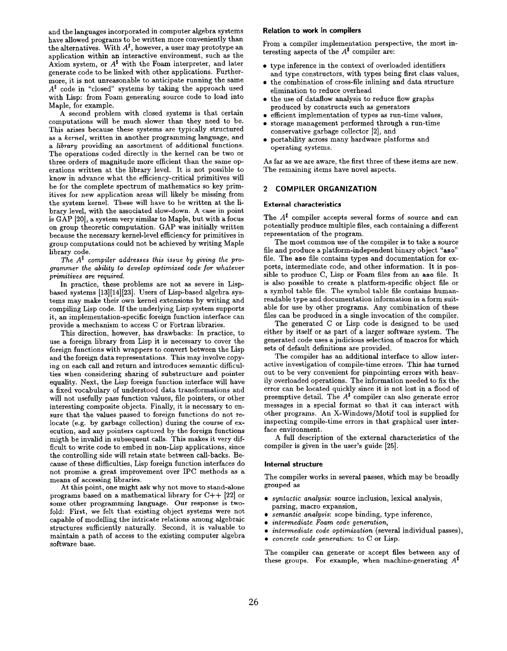and the languages incorporated in computer algebra systems have allowed programs to be written more conveniently than the alternatives. With  $A^{\sharp}$ , however, a user may prototype an application within an interactive environment, such as the Axiom system, or  $A^{\sharp}$  with the Foam interpreter, and later generate code to be linked with other applications. Furthermore, it is not unreasonable to anticipate running the same  $A^{\sharp}$  code in "closed" systems by taking the approach used with Lisp: from Foam generating source code to load into Maple, for example.

A second problem with closed systems is that certain computations will be much slower than they need to be. This arises because these systems are typically structured as a kernel, written in another programming language, and a library providing an assortment of additional functions. The operations coded directly in the kernel can be two or three orders of magnitude more efficient than the same operations written at the library level. It is not possible to know in advance what the efficiency-critical primitives will be for the complete spectrum of mathematics so key primitives for new application areas will likely be missing from the system kernel. These will have to be written at the library level, with the associated slow-down. A case in point is GAP [20], a system very similar to Maple, but with a focus on group theoretic computation. GAP was initially written because the necessary kernel-level efficiency for primitives in group computations could not be achieved by writing Maple library code.

The  $A^{\sharp}$  compiler addresses this issue by giving the programmer the ability to develop optimized code fov whatever primitives are required.

In practice, these problems are not aa severe in Lispbased systems [13][14][23]. Users of Lisp-based algebra systems may make their own kernel extensions by writing and compiling Lisp code. If the underlying Lisp system supports it, an implementation-specific foreign function interface can provide a mechanism to access C or Fortran libraries.

This direction, however, has drawbacks: In practice, to use a foreign library from Lisp it is necessary to cover the foreign functions with wrappers to convert between the Lisp and the foreign data representations. This may involve copying on each call and return and introduces semantic difficulties when considering sharing of substructure and pointer equality. Next, the Lisp foreign function interface will have a fixed vocabulary of understood data transformations and will not usefully pass function values, file pointers, or other interesting composite objects. Finally, it is necessary to ensure that the values passed to foreign functions do not relocate (e.g. by garbage collection) during the course of execution, and any pointers captured by the foreign functions migth be invalid in subsequent calls. This makes it very difficult to write code to embed in non-Lisp applications, since the controlling side will retain state between call-backs. Because of these difficulties, Lisp foreign function interfaces do not promise a great improvement over IPC methods as a means of accessing libraries.

At this point, one might ask why not move to stand-alone programs based on a mathematical library for C++ [22] or some other programming language. Our response is twofold: First, we felt that existing object systems were not capable of modelling the intricate relations among algebraic structures sufficiently naturally. Second, it is valuable to maintain a path of access to the existing computer algebra software base.

#### Relation to work in compilers

From a compiler implementation perspective, the most interesting aspects of the  $A^{\sharp}$  compiler are:

- $\bullet\,$  type inference in the context of overloaded identifier and type constructors, with types being first class values,
- $\bullet\,$  the combination of cross-file inlining and data structur elimination to reduce overhead
- $\bullet\,$  the use of dataflow analysis to reduce flow graphs produced by constructs such as generators
- $\bullet$  efficient implementation of types as run-time values
- storage management performed through a run-time conservative garbage collector [2], and
- $\bullet$  portability across many hardware platforms and Operating Systems.

As far as we are aware, the first three of these items are new. The remaining items have novel aspects.

#### 2 COMPILER ORGANIZATION

### External characteristics

The  $A^{\sharp}$  compiler accepts several forms of source and can potentially produce multiple files, each containing a different representation of the program.

The most common use of the compiler is to take a source file and produce a platform-independent binary object "aso" file. The aso file contains types and documentation for exports, intermediate code, and other information. It is possible to produce C, Lisp or Foam files from an aso file. It is also possible to create a platform-specific object file or a symbol table file. The symbol table file contains humanreadable type and documentation information in a form suitable for use by other programs. Any combination of these files can be produced in a single invocation of the compiler.

The generated C or Lisp code is designed to be used either by itself or as part of a larger software system. The generated code uses a judicious selection of macros for which sets of default definitions are provided.

The compiler has an additional interface to allow interactive investigation of compile-time errors. This has turned out to be very convenient for pinpointing errors with heavily overloaded operations. The information needed to fix the error can be located quickly since it is not lost in a flood of preemptive detail. The  $A^{\sharp}$  compiler can also generate error messages in a special format so that it can interact with other programs. An X-Windows/Motif tool is supplied for inspecting compile-time errors in that graphical user interface environment.

A full description of the external characteristics of the compiler is given in the user's guide [25].

## Internal structure

The compiler works in several passes, which maybe broadly grouped as

- syntactic analysis: source inclusion, lexical analysis, parsing, macro expansion,
- semantic analysis: scope binding, type inference,
- intermediate Foam code generation,
- intermediate code optimization (several individual passes),
- . concrete code generation. to C or Lisp.

The compiler can generate or accept files between any of these groups. For example, when machine-generating  $A^{\sharp}$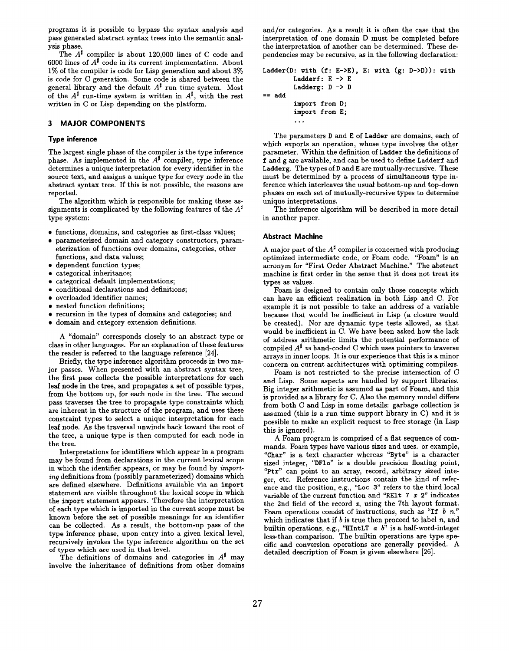programs it is possible to bypass the syntax analysis and pass generated abstract syntax trees into the semantic analysis phase.

The  $A^{\sharp}$  compiler is about 120,000 lines of C code and 6000 lines of  $A^{\sharp}$  code in its current implementation. About 1% of the compiler is code for Lisp generation and about 3% is code for C generation. Some code is shared between the general library and the default  $A^{\sharp}$  run time system. Most of the  $A^{\sharp}$  run-time system is written in  $A^{\sharp}$ , with the rest written in C or Lisp depending on the platform.

## 3 MAJOR COMPONENTS

#### Type inference

The largest single phase of the compiler is the type inference phase. As implemented in the  $A^{\sharp}$  compiler, type inference determines a unique interpretation for every identifier in the source text, and assigns a unique type for every node in the abstract syntax tree. If this is not possible, the reasons are reported.

The algorithm which is responsible for making these assignments is complicated by the following features of the  $A^{\sharp}$ type system:

- functions, domains, and categories as first-class values;
- $\bullet$  parameterized domain and category constructors, param etrization of functions over domains, categories, other functions, and data values;
- $\bullet\,$  dependent function types
- categorical inheritance;
- $\bullet\,$  categorical default implementatio:
- $\bullet$  conditional declarations and definition
- overloaded identifier names;
- $\bullet\,$  nested function definition
- recursion in the types of domains and categories; and
- domain and category extension definition

A "domain" corresponds closely to an abstract type or class in other languages. For an explanation of these features the reader is referred to the language reference [24].

Briefly, the type inference algorithm proceeds in two major passes. When presented with an abstract syntax tree, the first pass collects the possible interpretations for each leaf node in the tree, and propagates a set of possible types, from the bottom up, for each node in the tree. The second paas traverses the tree to propagate type constraints which are inherent in the structure of the program, and uses these constraint types to select a unique interpretation for each leaf node. As the traversal unwinds back toward the root of the tree, a unique type is then computed for each node in the tree.

Interpretations for identifiers which appear in a program may be found from declarations in the current lexical scope in which the identifier appears, or may be found by importing definitions from (possibly parameterized) domains which are defined elsewhere. Definitions available via an import statement are visible throughout the lexical scope in which the import statement appears. Therefore the interpretation of each type which is imported in the current scope must be known before the set of possible meanings for an identifier can be collected. As a result, the bottom-up pass of the type inference phase, upon entry into a given lexical level, recursively invokes the type inference algorithm on the set of types which are used in that level.

The definitions of domains and categories in  $A^{\sharp}$  may involve the inheritance of definitions from other domains

and/or categories. As a result it is often the caae that the interpretation of one domain D must be completed before the interpretation of another can be determined. These dependencies may be recursive, as in the following declaration:

```
Ladder (D: with (f: E->E), E: with (g: D->D)): with
        Ladderf: E -> E
        Ladderg: D \rightarrow D== addimport from D;
```
import from E; . . .

The parameters D and E of Ladder are domains, each of which exports an operation, whose type involves the other parameter. Within the definition of Ladder the definitions of f and g are available, and can be used to define Ladderf and Ladderg. The types of D and E are mutually-recursive. These must be determined by a process of simultaneous type inference which interleaves the usual bottom-up and top-down phases on each set of mutually-recursive types to determine unique interpretations.

The inference algorithm will be described in more detail in another paper.

#### Abstract Machine

A major part of the  $A^{\sharp}$  compiler is concerned with producing optimized intermediate code, or Foam code. "Foam" is an acronym for "First Order Abstract Machine." The abstract machine is first order in the sense that it does not treat its types aa values.

Foam is designed to contain only those concepts which can have an efficient realization in both Lisp and C. For example it is not possible to take an address of a variable because that would be inefficient in Lisp (a closure would be created). Nor are dynamic type tests allowed, as that would be inefficient in C. We have been asked how the lack of address arithmetic limits the potential performance of compiled  $A^{\sharp}$  us hand-coded C which uses pointers to traverse arrays in inner loops. It is our experience that this is a minor concern on current architectures with optimizing compilers.

Foam is not restricted to the precise intersection of C and Lisp. Some aapects are handled by support libraries. Big integer arithmetic is assumed aa part of Foam, and this is provided as a library for C. Also the memory model differs from both C and Lisp in some details: garbage collection is assumed (this is a run time support library in C) and it is possible to make an explicit request to free storage (in Lisp this is ignored).

A Foam program is comprised of a flat sequence of commands. Foam types have various sizes and uses. or example, "Char" is a text character whereas "Byte" is a character sized integer, "DF1o" is a double precision floating point, "Ptr" can point to an array, record, arbitrary sized integer, etc. Reference instructions contain the kind of reference and the position, e.g., "LOC 3" refers to the third local variable of the current function and "RE1t  $7 x 2$ " indicates the 2nd field of the record x, using the 7th layout format. Foam operations consist of instructions, such as "If  $b$  n," which indicates that if  $b$  is true then proceed to label  $n$ , and builtin operations, e.g., "HIntLT  $a$   $b$ " is a half-word-integ less-than comparison. The builtin operations are type specific and conversion operations are generally provided. A detailed description of Foam is given elsewhere [26].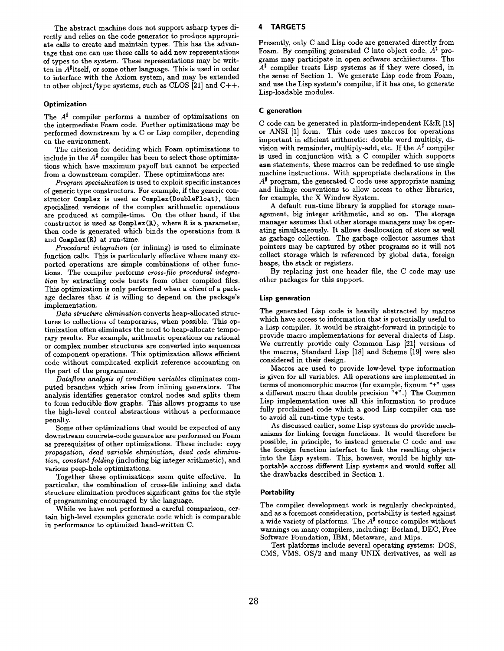The abstract machine does not support aaharp types directly and relies on the code generator to produce appropriate calls to create and maintain types. This has the advantage that one can use these calls to add new representations of types to the system. These representations may be written in  $A^{\sharp}$  itself, or some other language. This is used in order to interface with the Axiom system, and may be extended to other object/type systems, such as CLOS [21] and C++.

### **Optimization**

The  $A^{\sharp}$  compiler performs a number of optimizations on the intermediate Foam code. Further optimizations may be performed downstream by a C or Lisp compiler, depending on the environment.

The criterion for deciding which Foam optimizations to include in the  $A^{\sharp}$  compiler has been to select those optimizations which have maximum payoff but cannot be expected from a downstream compiler. These optimizations are:

Program specialization is used to exploit specific instances of generic type constructors. For example, if the generic constructor Complex is used as Complex (DoubleFloat), then specialized versions of the complex arithmetic operations are produced at compile-time. On the other hand, if the constructor is used as  $Complex(R)$ , where R is a parameter, then code is generated which binds the operations from R and Complex (R) at run-time.

Procedural integration (or inlining) is used to eliminate function calls. This is particularly effective where many exported operations are simple combinations of other functions. The compiler performs cross-file procedural integration by extracting code bursts from other compiled files. This optimization is only performed when a client of a package declares that it is willing to depend on the package's implement ation.

Data structure elimination converts heap-allocated structures to collections of temporaries, when possible. This optimization often eliminates the need to heap-allocate temporary results. For example, arithmetic operations on rational or complex number structures are converted into sequences of component operations. This optimization allows efficient code without complicated explicit reference accounting on the part of the programmer.

 $\bar{D}$ ataflow analysis of condition variables eliminates computed branches which arise from inlining generators. The analysis identifies generator control nodes and splits them to form reducible flow graphs. This allows programs to use the high-level control abstractions without a performance penalty.

Some other optimizations that would be expected of any downstream concrete-code generator are performed on Foam as prerequisites of other optimizations. These include: copy propagation, dead variable elimination, dead code elimination, constant folding (including big integer arithmetic), and various peep-hole optimizations.

Together these optimizations seem quite effective. In particular, the combination of cross-file inlining and data structure elimination produces significant gains for the style of programming encouraged by the language.

While we have not performed a careful comparison, certain high-level examples generate code which is comparable in performance to optimized hand-written C.

## 4 TARGETS

Presently, only C and Lisp code are generated directly from Foam. By compiling generated C into object code,  $A^{\sharp}$  programs may participate in open software architectures. The  $A^{\sharp}$  compiler treats Lisp systems as if they were closed, in the sense of Section 1. We generate Lisp code from Foam, and use the Lisp system's compiler, if it has one, to generate Lisp-loadable modules.

#### C generation

C code can be generated in platform-independent K&R [15] or ANSI [1] form. This code uses macros for operations important in efficient arithmetic: double word multiply, division with remainder, multiply-add, etc. If the  $A^{\sharp}$  compiler is used in conjunction with a C compiler which supports asm statements, these macros can be redefined to use single machine instructions. With appropriate declarations in the  $A^{\sharp}$  program, the generated C code uses appropriate naming and linkage conventions to allow access to other libraries, for example, the X Window System.

A default run-time library is supplied for storage management, big integer arithmetic, and so on. The storage manager assumes that other storage managers may be operating simultaneously. It allows deallocation of store as well as garbage collection. The garbage collector assumes that pointers may be captured by other programs so it will not collect storage which is referenced by global data, foreign heaps, the stack or registers.

By replacing just one header file, the C code may use other packages for this support.

# Lisp generation

The generated Lisp code is heavily abstracted by macros which have access to information that is potentially useful to a Lisp compiler. It would be straight-forward in principle to provide macro implementations for several dialects of Lisp. We currently provide only Common Lisp [21] versions of the macros, Standard Lisp [18] and Scheme [19] were also considered in their design.

Macros are used to provide low-level type information is given for all variables. All operations are implemented in terms of monomorphic macros (for example, fixnum "+" uses a different macro than double precision "+".) The Common Lisp implementation uses all this information to produce fully proclaimed code which a good Lisp compiler can use to avoid all run-time type tests.

As discussed earlier, some Lisp systems do provide mechanisms for linking foreign functions. It would therefore be possible, in principle, to instead generate C code and use the foreign function interfact to link the resulting objects into the Lisp system. This, however, would be highly unportable accross different Lisp systems and would suffer all the drawbacks described in Section 1.

#### **Portability**

The compiler development work is regularly checkpointed, and as a foremost consideration, portability is tested against a wide variety of platforms. The  $A^{\sharp}$  source compiles without warnings on many compilers, including: Borland, DEC, Free Software Foundation, IBM, Metaware, and Mips.

Test platforms include several operating systems: DOS, CMS, VMS, 0S/2 and many UNIX derivatives, as well as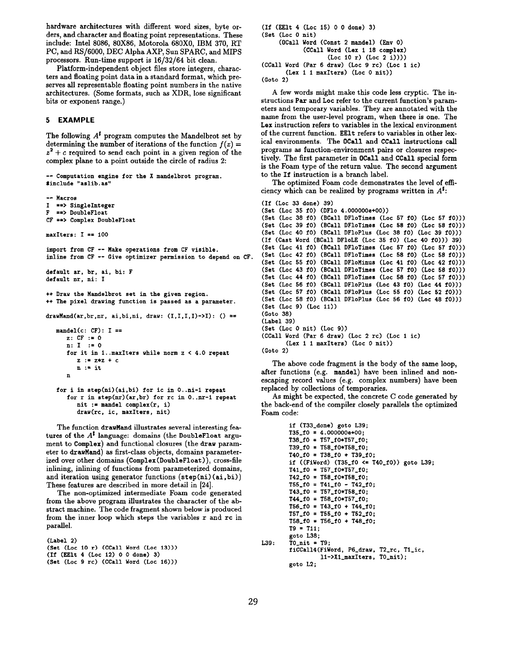hardware architectures with different word sizes, byte orders, and character and floating point representations. These include: Intel 8086, 80X86, Motorola 680X0, IBM 370, RT PC, and RS/6000, DEC Alpha AXP, Sun SPARC, and MIPS processors. Run-time support is 16/32/64 bit clean.

Platform-independent object files store integers, characters and floating point data in a standard format, which preserves all representable floating point numbers in the native architectures. (Some formats, such as XDR, lose significant bits or exponent range.)

# 5 EXAMPLE

The following  $A^{\sharp}$  program computes the Mandelbrot set by determining the number of iterations of the function  $f(z) =$  $z^2 + c$  required to send each point in a given region of the complex plane to a point outside the circle of radius 2:

-- Computation engine for the X mandelbrot program. \*include "aslib. as"

```
-- Macros
I ==> SingleInteger<br>F ==> DoubleFloat
   F ==> DoubleFloat
CF ==> Complex DoubleFloat
maxIters: I == 100import from CF -- Make operations from CF visible.
inline from CF -- Give optimizer permission to depend on CF.
default ar, br, ai, bi: F
default m, ni: I
++ Draw the Mandelbrot set in the given region.
++ The pixel drawing function is passed as a parameter.
drawMand(ar, br, nr, ai, bi, ni, draw: (I, I, I, I)->I): () ==
   mandel(c: CF): I ==z: CF := 0n: I := 0for it in 1. .maxIters while norm z < 4.0 repeat
         z := z * z + cn := itn
   for i in step(ni) (ai, bi) for ic in O, .ni-l repeat
      for r in step(nr) (ar, br) for rc in 0..nr-1 repeat
         nit := mandel complex(r, i)
```
draw(rc, ic, maxIters, nit)

The function drawMand illustrates several interesting features of the  $A^{\sharp}$  language: domains (the DoubleFloat argument to Complex) and functional closures (the draw parameter to drawMand) as first-class objects, domains parameterized over other domains (Complex (DoubleFloat)), cross-file inlining, inlining of functions from parameterized domains, and iteration using generator functions  $(\text{step}(ni)(ai, bi))$ These features are described in more detail in [24].

The non-optimized intermediate Foam code generated from the above program illustrates the character of the abstract machine. The code fragment shown below is produced from the inner loop which steps the variables r and rc in parallel.

```
(Label 2)
(Set (Loc 10 r) (CCall Word (Loc 13)))
(If (EElt 4 (Lot 12) O 0 done) 3)
(Set (Loc 9 rc) (CCall Word (Loc 16)))
```

```
(If (EE1t 4 (Loc 15) 0 0 done) 3)
(Set (Lot O nit)
    (OCall Word (Const 2 mandel) (Env 0)
           (CCall Word (Lex 1 18 complex)
                   (Loc 10 r) (Loc 2 i)))(CCall Word (Par 6 draw) (Lot 9 rc) (Lot 1 ic)
      (Lex 1 1 maxIters) (Loc 0 nit))
```

```
(Goto 2)
```
A few words might make this code lees cryptic. The instructions Par and Loc refer to the current function's parameters and temporary variables. They are annotated with the name from the user-level program, when there is one. The Lex instruction refers to variables in the lexical environment of the current function. EElt refers to variables in other lexical environments. The OCall and CCall instructions call programs as function-environment pairs or closures respectively. The first parameter in **OCall** and **CCall** special form is the Foam type of the return value. The second argument to the If instruction is a branch label.

The optimized Foam code demonstrates the level of efficiency which can be realized by programs written in  $A^{\sharp}$ :

```
(If (Loc 33 done) 39)
(Set (Lot 35 fO) (DF1o 4. 0000OOe+OO) )
(Set (Loc 38 f0) (BCall DFloTimes (Loc 57 f0) (Loc 57 f0)))
(Set (Loc 39 f0) (BCall DFloTimes (Loc 58 f0) (Loc 58 f0)))
(Set (Loc 40 f0) (BCall DF1oPlus (Loc 38 f0) (Loc 39 f0)))
(If (Cast Word (BCall DF1oLE (Loc 35 f0) (Loc 40 f0))) 39)
(Set (Loc 41 f0) (BCall DFloTimes (Loc 57 f0) (Loc 57 f0)))
(Set (Loc 42 f0) (BCall DFloTimes (Loc 58 f0) (Loc 58 f0)))
(Set (Loc 55 f0) (BCall DFloMinus (Loc 41 f0) (Loc 42 f0)))
(Set (Loc 43 f0) (BCall DFloTimes (Loc 57 f0) (Loc 58 f0)))
(Set (Loc 44 f0) (BCall DFloTimes (Loc 58 f0) (Loc 57 f0)))
(Set (Loc 56 f0) (BCall DF1oPlus (Loc 43 f0) (Loc 44 f0)))
(Set (Loc 57 f0) (BCall DFloPlus (Loc 55 f0) (Loc 52 f0)))
(Set (Loc 58 f0) (BCall DF1oPlus (Loc 56 f0) (Loc 48 f0)))
(Set (Lot 9) (Lot 11))
(Goto 38)
(Label 39)
(Set (Lot O nit) (Loc 9))
(CCall Word (Par 6 draw) (Lot 2 rc) (Lot 1 ic)
       (Lex 1 1 maxIters) (Loc 0 nit))
(Goto 2)
```
The above code fragment is the body of the same loop, after functions (e.g. mandel) have been inlined and nonescaping record values (e.g. complex numbers) have been replaced by collections of temporaries.

As might be expected, the concrete C code generated by the back-end of the compiler closely parallels the optimized Foam code:

```
if (T33-done) goto L39;
        T35_f0 = 4.000000e+00;
        T38\_f0 = T57\_f0*T57\_f0;T39_f0 = T58_f0*T58_f0;T40_{10} = T38_{10} + T39_{10};if ((FiWord) (T35_f0 \le T40_f0)) goto L39;
        T41\_f0 = T57\_f0*T57\_f0;T42_f0 = T58_f0*T58_f0;T55\_f0 = T41\_f0 - T42\_f0;T43_f0 = T57_f0*T58_f0;T44_f0 = T58_f0*T57_f0;T56_{-}f0 = T43_{-}f0 + T44_{-}f0;T57_f0 = T55_f0 + T52_f0;
        T58_f0 = T56_f0 + T48_f0;T9 = T11;
        goto L38 ;
L39: TO_nit = T9;
        fiCCall4(FiWord, P6_draw, T2_rc, T1_ic,
                  11-> Xl-merItere, TO-nit);
        goto L2 ;
```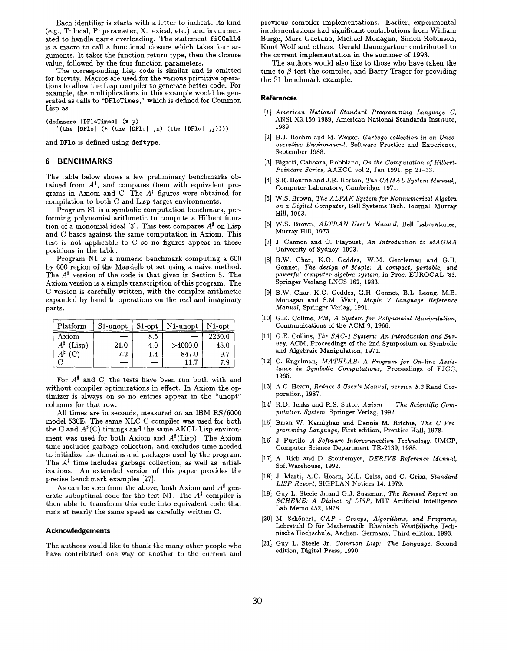Each identifier is starts with a letter to indicate its kind (e.g., T: local, P: parameter, X: lexical, etc.) and is enumerated to handle name overloading. The statement fiCCal14 is a macro to call a functional closure which takes four arguments. It takes the function return type, then the closure value, followed by the four function parameters.

The corresponding Lisp code is similar and is omitted for brevity. Macros are used for the various primitive operations to allow the Lisp compiler to generate better code. For example, the multiplications in this example would be generated as calls to "DFloTimes ," which is defined for Common Lisp as

(defmacro *IDF1oTimes* | (x y) '(the  $|DF10|$  (\* (the  $|DF10|$ , x) (the  $|DF10|$ , y))))

and DF10 is defined using deftype.

## 6 BENCHMARKS

The table below shows a few preliminary benchmarks obtained from  $A^{\sharp}$ , and compares them with equivalent programs in Axiom and C. The  $A^{\sharp}$  figures were obtained for compilation to both C and Lisp target environments.

Program S1 is a symbolic computation benchmark, performing polynomial arithmetic to compute a Hilbert function of a monomial ideal [3]. This test compares  $A^{\sharp}$  on Lisp and C bases against the same computation in Axiom. This test is not applicable to C so no figures appear in those positions in the table.

Program N1 is a numeric benchmark computing a 600 by 600 region of the Mandelbrot set using a naive method. The  $A^{\sharp}$  version of the code is that given in Section 5. The Axiom version is a simple transcription of thie program. The C version is carefully written, with the complex arithmetic expanded by hand to operations on the real and imaginary parts.

| Platform            | $S1$ -unopt | $\int$ S1-opt | N1-unopt | $N1$ -opt |
|---------------------|-------------|---------------|----------|-----------|
| Axiom               |             | 8.5           |          | 2230.0    |
| $A^{\sharp}$ (Lisp) | 21.0        | 4.0           | >4000.0  | 48.0      |
| $A^{\sharp}$ (C)    | 7.2         | $1.4\,$       | 847.0    | 9.7       |
|                     |             |               | 11.7     | 7.9       |

For  $A^{\sharp}$  and C, the tests have been run both with and without compiler optimizations in effect. In Axiom the optimizer is always on so no entries appear in the "unopt" columns for that row.

All times are in seconds, measured on an IBM RS/6000 model 53oE. The same XLC C compiler was used for both the C and  $A<sup>\sharp</sup>(C)$  timings and the same AKCL Lisp environment was used for both Axiom and  $A^{\sharp}$ (Lisp). The Axiom time includes garbage collection, and excludes time needed to initialize the domains and packages used by the program. The  $A^{\sharp}$  time includes garbage collection, as well as initializations. An extended version of this paper provides the precise benchmark examples [27].

As can be seen from the above, both Axiom and  $A^{\sharp}$  generate suboptimal code for the test N1. The  $A^{\sharp}$  compiler is then able to transform this code into equivalent code that runs at nearly the same speed as carefully written C.

#### Acknowledgements

The authors would like to thank the many other people who have contributed one way or another to the current and previous compiler implementations. Earlier, experimental implementations had significant contributions from William Burge, Marc Gaetano, Michael Monagan, Simon Robinson, Knut Wolf and others. Gerald Baumgartner contributed to the current implementation in the summer of 1993.

The authors would also like to those who have taken the time to  $\beta$ -test the compiler, and Barry Trager for providing the S1 benchmark example.

#### References

- [1] American National Standard Programming Language C, ANSI X3. 159-1989, American National Standards Institute, 1989.
- [2] H.J. Boehm and M. Weiser, *Garbage collection in an Unco* operative Environment, Software Practice and Experience, September 1988.
- [3] Bigatti, Caboara, Robbiano, On the Computation of Hilber Poincare Series, AAECC vol 2, Jan 1991, pp 21-33.
- $[4]$  S.R. Bourne and J.R. Horton, *The CAMAL System Manua* Computer Laboratory, Cambridge, 1971.
- $[5]$  W.S. Brown, The ALPAK System for Nonnumerical Algebra on a Digital Computer, Bell Systems Tech. Journal, Murray Hill, 1963.
- [6] W.S. Brown, ALTRAN User's Manual, Bell Laborator Murray Hill, 1973.
- $[7]$  J. Cannon and C. Playoust, An Introduction to  $MAGM$ University of Sydney, 1993.
- [8] B.W. Char, K.O. Geddes, W.M. Gentleman and G.H. Gonnet, The design of Maple: A compact, portable, and powerful computer algebra system, in Proc. EUROCAL '83, Springer Verlang LNCS 162, 1983.
- [9] B.W. Char, K.O. Geddes, G.H. Gonnet, B.L. Leong, M.B. Monagan and S.M. Watt, Maple V Language Reference Manual, Springer Verlag, 1991.
- $[10]$  G.E. Collins, PM, A System for Polynomial Manipulati Communications of the ACM 9, 1966.
- [11] G.E. Collins, The SAC-1 System: An Introduction and Survey, ACM, Proceedings of the 2nd Symposium on Symbolic and Algebraic Manipulation, 1971.
- $|12|$  C. Engelman,  $MATHLAB:$  A Program for On-line Assi. tance in Symbolic Computations, Proceedings of FJCC, 1965.
- [13] A.C. Hearn, *Reduce 3 User's Manual, version 3.3* Rand Cor poration, 1987.
- $[14]$  R.D. Jenks and R.S. Sutor,  $Axiom The Scientific Com$ putation System, Springer Verlag, 1992.
- $|15|$  Brian W. Kernighan and Dennis M. Ritchie, The C Pro gramming Language, First edition, Prentice Hall, 1978.
- [16] J. Purtilo, A Software Interconnection Technology, UMC Computer Science Department TR-2139, 1988.
- $[17]$  A. Rich and D. Stoutemyer, *DERIVE Reference Manu* SoftWarehouse, 1992.
- $|18|$  J. Marti, A.C. Hearn, M.L. Griss, and C. Griss, *Standa* LISP Report, SIGPLAN Notices 14, 1979.
- [19] Guy L. Steele Jr.and G.J. Sussman, *The Revised Report on* SCHEME: A Dialect of LISP, MIT Artificial Intelligence Lab Memo 452, 1978.
- [20] M. Schönert, GAP Groups, Algorithms, and Program Lehrstuhl D für Mathematik, Rheinisch Westfälische Technische Hochschule, Aachen, Germany, Third edition, 1993.
- $[21]$  Guy L. Steele Jr. Common Lisp: The Language, Second edition, Digital Press, 1990.